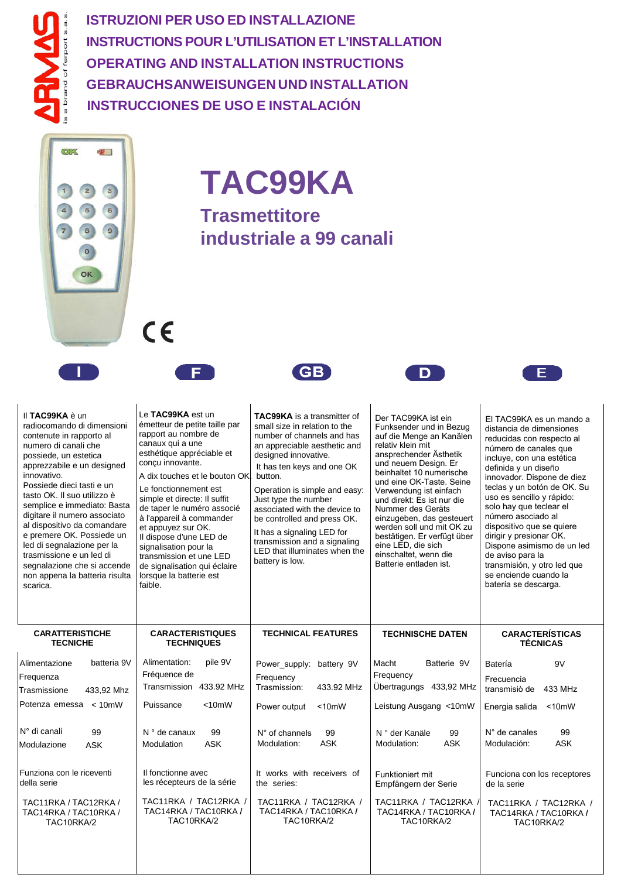**ISTRUZIONI PER USO ED INSTALLAZIONE INSTRUCTIONS POUR L'UTILISATION ET L'INSTALLATION OPERATING AND INSTALLATION INSTRUCTIONS GEBRAUCHSANWEISUNGEN UND INSTALLATION INSTRUCCIONES DE USO E INSTALACIÓN**



**TAC99KA**

**Trasmettitore industriale a 99 canali**





 $c\epsilon$ 



 $\Box$ 

**EXI** 

| Il TAC99KA è un<br>radiocomando di dimensioni<br>contenute in rapporto al<br>numero di canali che<br>possiede, un estetica<br>apprezzabile e un designed<br>innovativo.<br>Possiede dieci tasti e un<br>tasto OK. Il suo utilizzo è<br>semplice e immediato: Basta<br>digitare il numero associato<br>al dispositivo da comandare<br>e premere OK. Possiede un<br>led di segnalazione per la<br>trasmissione e un led di<br>segnalazione che si accende<br>non appena la batteria risulta<br>scarica. | Le TAC99KA est un<br>émetteur de petite taille par<br>rapport au nombre de<br>canaux qui a une<br>esthétique appréciable et<br>conçu innovante.<br>A dix touches et le bouton OK.<br>Le fonctionnement est<br>simple et directe: Il suffit<br>de taper le numéro associé<br>à l'appareil à commander<br>et appuyez sur OK.<br>Il dispose d'une LED de<br>signalisation pour la<br>transmission et une LED<br>de signalisation qui éclaire<br>lorsque la batterie est<br>faible. | <b>TAC99KA</b> is a transmitter of<br>small size in relation to the<br>number of channels and has<br>an appreciable aesthetic and<br>designed innovative.<br>It has ten keys and one OK<br>button.<br>Operation is simple and easy:<br>Just type the number<br>associated with the device to<br>be controlled and press OK.<br>It has a signaling LED for<br>transmission and a signaling<br>LED that illuminates when the<br>battery is low. | Der TAC99KA ist ein<br>Funksender und in Bezug<br>auf die Menge an Kanälen<br>relativ klein mit<br>ansprechender Ästhetik<br>und neuem Design. Er<br>beinhaltet 10 numerische<br>und eine OK-Taste. Seine<br>Verwendung ist einfach<br>und direkt: Es ist nur die<br>Nummer des Geräts<br>einzugeben, das gesteuert<br>werden soll und mit OK zu<br>bestätigen. Er verfügt über<br>eine LED, die sich<br>einschaltet, wenn die<br>Batterie entladen ist. | El TAC99KA es un mando a<br>distancia de dimensiones<br>reducidas con respecto al<br>número de canales que<br>incluye, con una estética<br>definida y un diseño<br>innovador. Dispone de diez<br>teclas y un botón de OK. Su<br>uso es sencillo y rápido:<br>solo hay que teclear el<br>número asociado al<br>dispositivo que se quiere<br>dirigir y presionar OK.<br>Dispone asimismo de un led<br>de aviso para la<br>transmisión, y otro led que<br>se enciende cuando la<br>batería se descarga. |
|-------------------------------------------------------------------------------------------------------------------------------------------------------------------------------------------------------------------------------------------------------------------------------------------------------------------------------------------------------------------------------------------------------------------------------------------------------------------------------------------------------|---------------------------------------------------------------------------------------------------------------------------------------------------------------------------------------------------------------------------------------------------------------------------------------------------------------------------------------------------------------------------------------------------------------------------------------------------------------------------------|-----------------------------------------------------------------------------------------------------------------------------------------------------------------------------------------------------------------------------------------------------------------------------------------------------------------------------------------------------------------------------------------------------------------------------------------------|----------------------------------------------------------------------------------------------------------------------------------------------------------------------------------------------------------------------------------------------------------------------------------------------------------------------------------------------------------------------------------------------------------------------------------------------------------|------------------------------------------------------------------------------------------------------------------------------------------------------------------------------------------------------------------------------------------------------------------------------------------------------------------------------------------------------------------------------------------------------------------------------------------------------------------------------------------------------|
| <b>CARATTERISTICHE</b><br><b>TECNICHE</b>                                                                                                                                                                                                                                                                                                                                                                                                                                                             | <b>CARACTERISTIQUES</b><br><b>TECHNIQUES</b>                                                                                                                                                                                                                                                                                                                                                                                                                                    | <b>TECHNICAL FEATURES</b>                                                                                                                                                                                                                                                                                                                                                                                                                     | <b>TECHNISCHE DATEN</b>                                                                                                                                                                                                                                                                                                                                                                                                                                  | <b>CARACTERÍSTICAS</b><br><b>TÉCNICAS</b>                                                                                                                                                                                                                                                                                                                                                                                                                                                            |
| batteria 9V<br>Alimentazione<br>Frequenza                                                                                                                                                                                                                                                                                                                                                                                                                                                             | Alimentation:<br>pile 9V<br>Fréquence de                                                                                                                                                                                                                                                                                                                                                                                                                                        | Power_supply: battery 9V<br>Frequency                                                                                                                                                                                                                                                                                                                                                                                                         | Macht<br>Batterie 9V<br>Frequency                                                                                                                                                                                                                                                                                                                                                                                                                        | 9V<br>Batería                                                                                                                                                                                                                                                                                                                                                                                                                                                                                        |
| 433,92 Mhz<br>Trasmissione                                                                                                                                                                                                                                                                                                                                                                                                                                                                            | Transmission 433.92 MHz                                                                                                                                                                                                                                                                                                                                                                                                                                                         | Trasmission:<br>433.92 MHz                                                                                                                                                                                                                                                                                                                                                                                                                    | Übertragungs 433,92 MHz                                                                                                                                                                                                                                                                                                                                                                                                                                  | Frecuencia<br>transmisiò de<br>433 MHz                                                                                                                                                                                                                                                                                                                                                                                                                                                               |
| Potenza emessa < 10mW                                                                                                                                                                                                                                                                                                                                                                                                                                                                                 | Puissance<br>$<$ 10mW                                                                                                                                                                                                                                                                                                                                                                                                                                                           | Power output<br>$<$ 10mW                                                                                                                                                                                                                                                                                                                                                                                                                      | Leistung Ausgang <10mW                                                                                                                                                                                                                                                                                                                                                                                                                                   | Energia salida<br>$<$ 10 $m$ W                                                                                                                                                                                                                                                                                                                                                                                                                                                                       |
| N° di canali<br>99<br>Modulazione<br><b>ASK</b>                                                                                                                                                                                                                                                                                                                                                                                                                                                       | $N^{\circ}$ de canaux<br>99<br><b>ASK</b><br>Modulation                                                                                                                                                                                                                                                                                                                                                                                                                         | N° of channels<br>99<br><b>ASK</b><br>Modulation:                                                                                                                                                                                                                                                                                                                                                                                             | N ° der Kanäle<br>99<br><b>ASK</b><br>Modulation:                                                                                                                                                                                                                                                                                                                                                                                                        | N° de canales<br>99<br><b>ASK</b><br>Modulación:                                                                                                                                                                                                                                                                                                                                                                                                                                                     |
| Funziona con le riceventi<br>della serie                                                                                                                                                                                                                                                                                                                                                                                                                                                              | Il fonctionne avec<br>les récepteurs de la série                                                                                                                                                                                                                                                                                                                                                                                                                                | It works with receivers of<br>the series:                                                                                                                                                                                                                                                                                                                                                                                                     | Funktioniert mit<br>Empfängern der Serie                                                                                                                                                                                                                                                                                                                                                                                                                 | Funciona con los receptores<br>de la serie                                                                                                                                                                                                                                                                                                                                                                                                                                                           |
| TAC11RKA / TAC12RKA /<br>TAC14RKA / TAC10RKA /<br>TAC10RKA/2                                                                                                                                                                                                                                                                                                                                                                                                                                          | TAC11RKA / TAC12RKA /<br>TAC14RKA / TAC10RKA /<br>TAC10RKA/2                                                                                                                                                                                                                                                                                                                                                                                                                    | TAC11RKA / TAC12RKA /<br>TAC14RKA / TAC10RKA /<br>TAC10RKA/2                                                                                                                                                                                                                                                                                                                                                                                  | TAC11RKA / TAC12RKA<br>TAC14RKA / TAC10RKA /<br>TAC10RKA/2                                                                                                                                                                                                                                                                                                                                                                                               | TAC11RKA / TAC12RKA /<br>TAC14RKA / TAC10RKA /<br>TAC10RKA/2                                                                                                                                                                                                                                                                                                                                                                                                                                         |